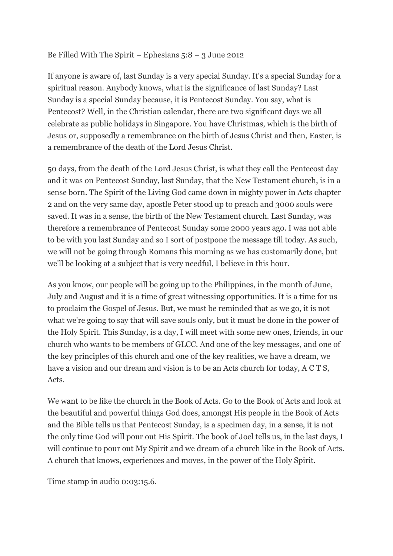#### Be Filled With The Spirit – Ephesians  $5:8 - 3$  June 2012

If anyone is aware of, last Sunday is a very special Sunday. It's a special Sunday for a spiritual reason. Anybody knows, what is the significance of last Sunday? Last Sunday is a special Sunday because, it is Pentecost Sunday. You say, what is Pentecost? Well, in the Christian calendar, there are two significant days we all celebrate as public holidays in Singapore. You have Christmas, which is the birth of Jesus or, supposedly a remembrance on the birth of Jesus Christ and then, Easter, is a remembrance of the death of the Lord Jesus Christ.

50 days, from the death of the Lord Jesus Christ, is what they call the Pentecost day and it was on Pentecost Sunday, last Sunday, that the New Testament church, is in a sense born. The Spirit of the Living God came down in mighty power in Acts chapter 2 and on the very same day, apostle Peter stood up to preach and 3000 souls were saved. It was in a sense, the birth of the New Testament church. Last Sunday, was therefore a remembrance of Pentecost Sunday some 2000 years ago. I was not able to be with you last Sunday and so I sort of postpone the message till today. As such, we will not be going through Romans this morning as we has customarily done, but we'll be looking at a subject that is very needful, I believe in this hour.

As you know, our people will be going up to the Philippines, in the month of June, July and August and it is a time of great witnessing opportunities. It is a time for us to proclaim the Gospel of Jesus. But, we must be reminded that as we go, it is not what we're going to say that will save souls only, but it must be done in the power of the Holy Spirit. This Sunday, is a day, I will meet with some new ones, friends, in our church who wants to be members of GLCC. And one of the key messages, and one of the key principles of this church and one of the key realities, we have a dream, we have a vision and our dream and vision is to be an Acts church for today, A C T S, Acts.

We want to be like the church in the Book of Acts. Go to the Book of Acts and look at the beautiful and powerful things God does, amongst His people in the Book of Acts and the Bible tells us that Pentecost Sunday, is a specimen day, in a sense, it is not the only time God will pour out His Spirit. The book of Joel tells us, in the last days, I will continue to pour out My Spirit and we dream of a church like in the Book of Acts. A church that knows, experiences and moves, in the power of the Holy Spirit.

Time stamp in audio 0:03:15.6.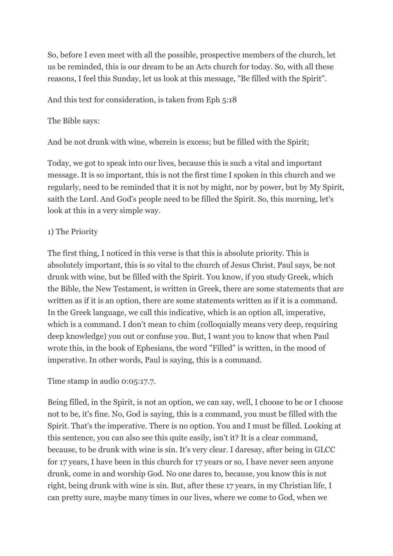So, before I even meet with all the possible, prospective members of the church, let us be reminded, this is our dream to be an Acts church for today. So, with all these reasons, I feel this Sunday, let us look at this message, "Be filled with the Spirit".

And this text for consideration, is taken from Eph 5:18

#### The Bible says:

And be not drunk with wine, wherein is excess; but be filled with the Spirit;

Today, we got to speak into our lives, because this is such a vital and important message. It is so important, this is not the first time I spoken in this church and we regularly, need to be reminded that it is not by might, nor by power, but by My Spirit, saith the Lord. And God's people need to be filled the Spirit. So, this morning, let's look at this in a very simple way.

#### 1) The Priority

The first thing, I noticed in this verse is that this is absolute priority. This is absolutely important, this is so vital to the church of Jesus Christ. Paul says, be not drunk with wine, but be filled with the Spirit. You know, if you study Greek, which the Bible, the New Testament, is written in Greek, there are some statements that are written as if it is an option, there are some statements written as if it is a command. In the Greek language, we call this indicative, which is an option all, imperative, which is a command. I don't mean to chim (colloquially means very deep, requiring deep knowledge) you out or confuse you. But, I want you to know that when Paul wrote this, in the book of Ephesians, the word "Filled" is written, in the mood of imperative. In other words, Paul is saying, this is a command.

#### Time stamp in audio 0:05:17.7.

Being filled, in the Spirit, is not an option, we can say, well, I choose to be or I choose not to be, it's fine. No, God is saying, this is a command, you must be filled with the Spirit. That's the imperative. There is no option. You and I must be filled. Looking at this sentence, you can also see this quite easily, isn't it? It is a clear command, because, to be drunk with wine is sin. It's very clear. I daresay, after being in GLCC for 17 years, I have been in this church for 17 years or so, I have never seen anyone drunk, come in and worship God. No one dares to, because, you know this is not right, being drunk with wine is sin. But, after these 17 years, in my Christian life, I can pretty sure, maybe many times in our lives, where we come to God, when we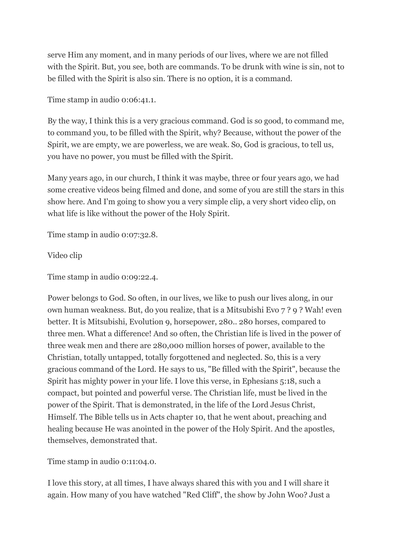serve Him any moment, and in many periods of our lives, where we are not filled with the Spirit. But, you see, both are commands. To be drunk with wine is sin, not to be filled with the Spirit is also sin. There is no option, it is a command.

Time stamp in audio 0:06:41.1.

By the way, I think this is a very gracious command. God is so good, to command me, to command you, to be filled with the Spirit, why? Because, without the power of the Spirit, we are empty, we are powerless, we are weak. So, God is gracious, to tell us, you have no power, you must be filled with the Spirit.

Many years ago, in our church, I think it was maybe, three or four years ago, we had some creative videos being filmed and done, and some of you are still the stars in this show here. And I'm going to show you a very simple clip, a very short video clip, on what life is like without the power of the Holy Spirit.

Time stamp in audio 0:07:32.8.

Video clip

Time stamp in audio 0:09:22.4.

Power belongs to God. So often, in our lives, we like to push our lives along, in our own human weakness. But, do you realize, that is a Mitsubishi Evo 7 ? 9 ? Wah! even better. It is Mitsubishi, Evolution 9, horsepower, 280.. 280 horses, compared to three men. What a difference! And so often, the Christian life is lived in the power of three weak men and there are 280,000 million horses of power, available to the Christian, totally untapped, totally forgottened and neglected. So, this is a very gracious command of the Lord. He says to us, "Be filled with the Spirit", because the Spirit has mighty power in your life. I love this verse, in Ephesians 5:18, such a compact, but pointed and powerful verse. The Christian life, must be lived in the power of the Spirit. That is demonstrated, in the life of the Lord Jesus Christ, Himself. The Bible tells us in Acts chapter 10, that he went about, preaching and healing because He was anointed in the power of the Holy Spirit. And the apostles, themselves, demonstrated that.

Time stamp in audio 0:11:04.0.

I love this story, at all times, I have always shared this with you and I will share it again. How many of you have watched "Red Cliff", the show by John Woo? Just a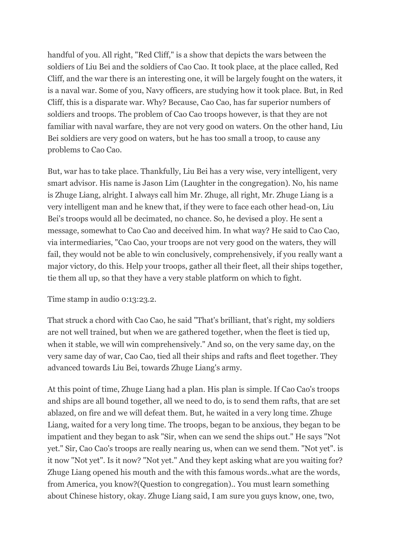handful of you. All right, "Red Cliff," is a show that depicts the wars between the soldiers of Liu Bei and the soldiers of Cao Cao. It took place, at the place called, Red Cliff, and the war there is an interesting one, it will be largely fought on the waters, it is a naval war. Some of you, Navy officers, are studying how it took place. But, in Red Cliff, this is a disparate war. Why? Because, Cao Cao, has far superior numbers of soldiers and troops. The problem of Cao Cao troops however, is that they are not familiar with naval warfare, they are not very good on waters. On the other hand, Liu Bei soldiers are very good on waters, but he has too small a troop, to cause any problems to Cao Cao.

But, war has to take place. Thankfully, Liu Bei has a very wise, very intelligent, very smart advisor. His name is Jason Lim (Laughter in the congregation). No, his name is Zhuge Liang, alright. I always call him Mr. Zhuge, all right, Mr. Zhuge Liang is a very intelligent man and he knew that, if they were to face each other head-on, Liu Bei's troops would all be decimated, no chance. So, he devised a ploy. He sent a message, somewhat to Cao Cao and deceived him. In what way? He said to Cao Cao, via intermediaries, "Cao Cao, your troops are not very good on the waters, they will fail, they would not be able to win conclusively, comprehensively, if you really want a major victory, do this. Help your troops, gather all their fleet, all their ships together, tie them all up, so that they have a very stable platform on which to fight.

Time stamp in audio 0:13:23.2.

That struck a chord with Cao Cao, he said "That's brilliant, that's right, my soldiers are not well trained, but when we are gathered together, when the fleet is tied up, when it stable, we will win comprehensively." And so, on the very same day, on the very same day of war, Cao Cao, tied all their ships and rafts and fleet together. They advanced towards Liu Bei, towards Zhuge Liang's army.

At this point of time, Zhuge Liang had a plan. His plan is simple. If Cao Cao's troops and ships are all bound together, all we need to do, is to send them rafts, that are set ablazed, on fire and we will defeat them. But, he waited in a very long time. Zhuge Liang, waited for a very long time. The troops, began to be anxious, they began to be impatient and they began to ask "Sir, when can we send the ships out." He says "Not yet." Sir, Cao Cao's troops are really nearing us, when can we send them. "Not yet". is it now "Not yet". Is it now? "Not yet." And they kept asking what are you waiting for? Zhuge Liang opened his mouth and the with this famous words..what are the words, from America, you know?(Question to congregation).. You must learn something about Chinese history, okay. Zhuge Liang said, I am sure you guys know, one, two,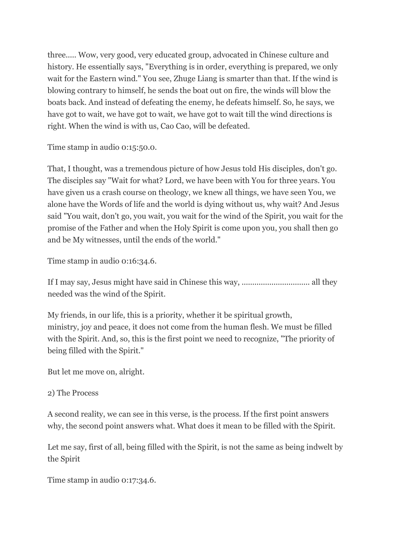three..... Wow, very good, very educated group, advocated in Chinese culture and history. He essentially says, "Everything is in order, everything is prepared, we only wait for the Eastern wind." You see, Zhuge Liang is smarter than that. If the wind is blowing contrary to himself, he sends the boat out on fire, the winds will blow the boats back. And instead of defeating the enemy, he defeats himself. So, he says, we have got to wait, we have got to wait, we have got to wait till the wind directions is right. When the wind is with us, Cao Cao, will be defeated.

Time stamp in audio 0:15:50.0.

That, I thought, was a tremendous picture of how Jesus told His disciples, don't go. The disciples say "Wait for what? Lord, we have been with You for three years. You have given us a crash course on theology, we knew all things, we have seen You, we alone have the Words of life and the world is dying without us, why wait? And Jesus said "You wait, don't go, you wait, you wait for the wind of the Spirit, you wait for the promise of the Father and when the Holy Spirit is come upon you, you shall then go and be My witnesses, until the ends of the world."

Time stamp in audio 0:16:34.6.

If I may say, Jesus might have said in Chinese this way, ................................ all they needed was the wind of the Spirit.

My friends, in our life, this is a priority, whether it be spiritual growth, ministry, joy and peace, it does not come from the human flesh. We must be filled with the Spirit. And, so, this is the first point we need to recognize, "The priority of being filled with the Spirit."

But let me move on, alright.

# 2) The Process

A second reality, we can see in this verse, is the process. If the first point answers why, the second point answers what. What does it mean to be filled with the Spirit.

Let me say, first of all, being filled with the Spirit, is not the same as being indwelt by the Spirit

Time stamp in audio 0:17:34.6.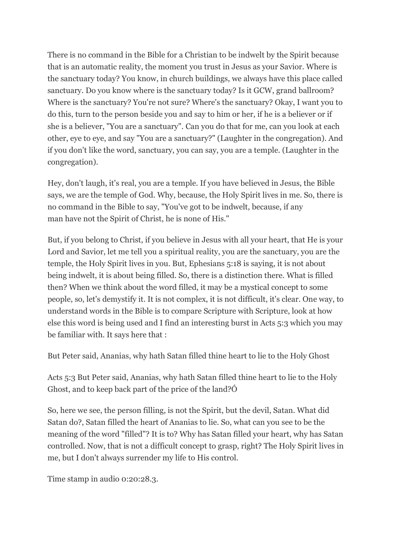There is no command in the Bible for a Christian to be indwelt by the Spirit because that is an automatic reality, the moment you trust in Jesus as your Savior. Where is the sanctuary today? You know, in church buildings, we always have this place called sanctuary. Do you know where is the sanctuary today? Is it GCW, grand ballroom? Where is the sanctuary? You're not sure? Where's the sanctuary? Okay, I want you to do this, turn to the person beside you and say to him or her, if he is a believer or if she is a believer, "You are a sanctuary". Can you do that for me, can you look at each other, eye to eye, and say "You are a sanctuary?" (Laughter in the congregation). And if you don't like the word, sanctuary, you can say, you are a temple. (Laughter in the congregation).

Hey, don't laugh, it's real, you are a temple. If you have believed in Jesus, the Bible says, we are the temple of God. Why, because, the Holy Spirit lives in me. So, there is no command in the Bible to say, "You've got to be indwelt, because, if any man have not the Spirit of Christ, he is none of His."

But, if you belong to Christ, if you believe in Jesus with all your heart, that He is your Lord and Savior, let me tell you a spiritual reality, you are the sanctuary, you are the temple, the Holy Spirit lives in you. But, Ephesians 5:18 is saying, it is not about being indwelt, it is about being filled. So, there is a distinction there. What is filled then? When we think about the word filled, it may be a mystical concept to some people, so, let's demystify it. It is not complex, it is not difficult, it's clear. One way, to understand words in the Bible is to compare Scripture with Scripture, look at how else this word is being used and I find an interesting burst in Acts 5:3 which you may be familiar with. It says here that :

But Peter said, Ananias, why hath Satan filled thine heart to lie to the Holy Ghost

Acts 5:3 But Peter said, Ananias, why hath Satan filled thine heart to lie to the Holy Ghost, and to keep back part of the price of the land?Ó

So, here we see, the person filling, is not the Spirit, but the devil, Satan. What did Satan do?, Satan filled the heart of Ananias to lie. So, what can you see to be the meaning of the word "filled"? It is to? Why has Satan filled your heart, why has Satan controlled. Now, that is not a difficult concept to grasp, right? The Holy Spirit lives in me, but I don't always surrender my life to His control.

Time stamp in audio 0:20:28.3.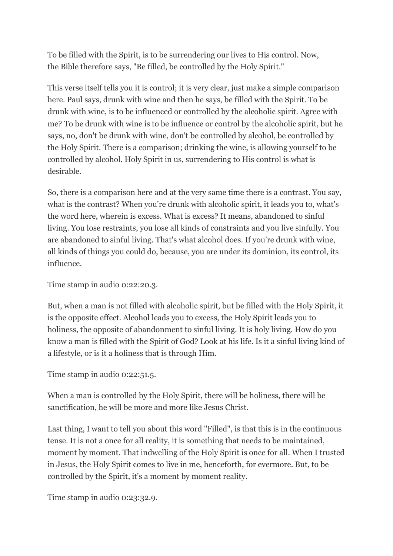To be filled with the Spirit, is to be surrendering our lives to His control. Now, the Bible therefore says, "Be filled, be controlled by the Holy Spirit."

This verse itself tells you it is control; it is very clear, just make a simple comparison here. Paul says, drunk with wine and then he says, be filled with the Spirit. To be drunk with wine, is to be influenced or controlled by the alcoholic spirit. Agree with me? To be drunk with wine is to be influence or control by the alcoholic spirit, but he says, no, don't be drunk with wine, don't be controlled by alcohol, be controlled by the Holy Spirit. There is a comparison; drinking the wine, is allowing yourself to be controlled by alcohol. Holy Spirit in us, surrendering to His control is what is desirable.

So, there is a comparison here and at the very same time there is a contrast. You say, what is the contrast? When you're drunk with alcoholic spirit, it leads you to, what's the word here, wherein is excess. What is excess? It means, abandoned to sinful living. You lose restraints, you lose all kinds of constraints and you live sinfully. You are abandoned to sinful living. That's what alcohol does. If you're drunk with wine, all kinds of things you could do, because, you are under its dominion, its control, its influence.

Time stamp in audio 0:22:20.3.

But, when a man is not filled with alcoholic spirit, but be filled with the Holy Spirit, it is the opposite effect. Alcohol leads you to excess, the Holy Spirit leads you to holiness, the opposite of abandonment to sinful living. It is holy living. How do you know a man is filled with the Spirit of God? Look at his life. Is it a sinful living kind of a lifestyle, or is it a holiness that is through Him.

Time stamp in audio 0:22:51.5.

When a man is controlled by the Holy Spirit, there will be holiness, there will be sanctification, he will be more and more like Jesus Christ.

Last thing, I want to tell you about this word "Filled", is that this is in the continuous tense. It is not a once for all reality, it is something that needs to be maintained, moment by moment. That indwelling of the Holy Spirit is once for all. When I trusted in Jesus, the Holy Spirit comes to live in me, henceforth, for evermore. But, to be controlled by the Spirit, it's a moment by moment reality.

Time stamp in audio 0:23:32.9.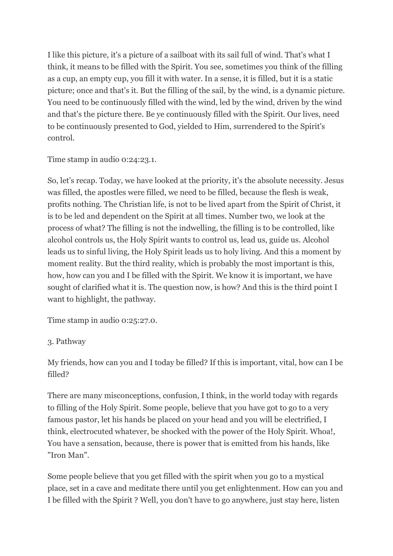I like this picture, it's a picture of a sailboat with its sail full of wind. That's what I think, it means to be filled with the Spirit. You see, sometimes you think of the filling as a cup, an empty cup, you fill it with water. In a sense, it is filled, but it is a static picture; once and that's it. But the filling of the sail, by the wind, is a dynamic picture. You need to be continuously filled with the wind, led by the wind, driven by the wind and that's the picture there. Be ye continuously filled with the Spirit. Our lives, need to be continuously presented to God, yielded to Him, surrendered to the Spirit's control.

Time stamp in audio 0:24:23.1.

So, let's recap. Today, we have looked at the priority, it's the absolute necessity. Jesus was filled, the apostles were filled, we need to be filled, because the flesh is weak, profits nothing. The Christian life, is not to be lived apart from the Spirit of Christ, it is to be led and dependent on the Spirit at all times. Number two, we look at the process of what? The filling is not the indwelling, the filling is to be controlled, like alcohol controls us, the Holy Spirit wants to control us, lead us, guide us. Alcohol leads us to sinful living, the Holy Spirit leads us to holy living. And this a moment by moment reality. But the third reality, which is probably the most important is this, how, how can you and I be filled with the Spirit. We know it is important, we have sought of clarified what it is. The question now, is how? And this is the third point I want to highlight, the pathway.

Time stamp in audio 0:25:27.0.

# 3. Pathway

My friends, how can you and I today be filled? If this is important, vital, how can I be filled?

There are many misconceptions, confusion, I think, in the world today with regards to filling of the Holy Spirit. Some people, believe that you have got to go to a very famous pastor, let his hands be placed on your head and you will be electrified, I think, electrocuted whatever, be shocked with the power of the Holy Spirit. Whoa!, You have a sensation, because, there is power that is emitted from his hands, like "Iron Man".

Some people believe that you get filled with the spirit when you go to a mystical place, set in a cave and meditate there until you get enlightenment. How can you and I be filled with the Spirit ? Well, you don't have to go anywhere, just stay here, listen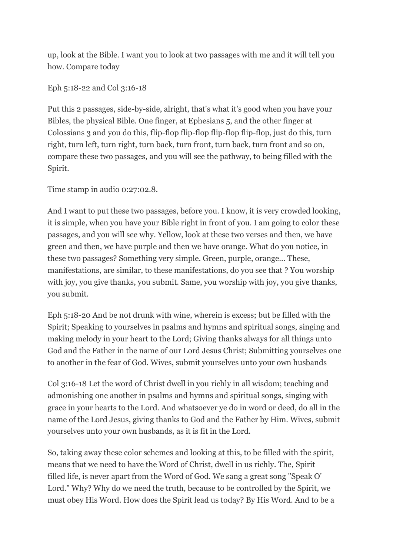up, look at the Bible. I want you to look at two passages with me and it will tell you how. Compare today

Eph 5:18-22 and Col 3:16-18

Put this 2 passages, side-by-side, alright, that's what it's good when you have your Bibles, the physical Bible. One finger, at Ephesians 5, and the other finger at Colossians 3 and you do this, flip-flop flip-flop flip-flop flip-flop, just do this, turn right, turn left, turn right, turn back, turn front, turn back, turn front and so on, compare these two passages, and you will see the pathway, to being filled with the Spirit.

Time stamp in audio 0:27:02.8.

And I want to put these two passages, before you. I know, it is very crowded looking, it is simple, when you have your Bible right in front of you. I am going to color these passages, and you will see why. Yellow, look at these two verses and then, we have green and then, we have purple and then we have orange. What do you notice, in these two passages? Something very simple. Green, purple, orange... These, manifestations, are similar, to these manifestations, do you see that ? You worship with joy, you give thanks, you submit. Same, you worship with joy, you give thanks, you submit.

Eph 5:18-20 And be not drunk with wine, wherein is excess; but be filled with the Spirit; Speaking to yourselves in psalms and hymns and spiritual songs, singing and making melody in your heart to the Lord; Giving thanks always for all things unto God and the Father in the name of our Lord Jesus Christ; Submitting yourselves one to another in the fear of God. Wives, submit yourselves unto your own husbands

Col 3:16-18 Let the word of Christ dwell in you richly in all wisdom; teaching and admonishing one another in psalms and hymns and spiritual songs, singing with grace in your hearts to the Lord. And whatsoever ye do in word or deed, do all in the name of the Lord Jesus, giving thanks to God and the Father by Him. Wives, submit yourselves unto your own husbands, as it is fit in the Lord.

So, taking away these color schemes and looking at this, to be filled with the spirit, means that we need to have the Word of Christ, dwell in us richly. The, Spirit filled life, is never apart from the Word of God. We sang a great song "Speak O' Lord." Why? Why do we need the truth, because to be controlled by the Spirit, we must obey His Word. How does the Spirit lead us today? By His Word. And to be a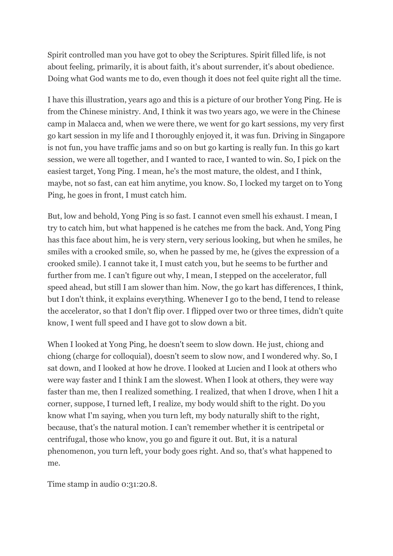Spirit controlled man you have got to obey the Scriptures. Spirit filled life, is not about feeling, primarily, it is about faith, it's about surrender, it's about obedience. Doing what God wants me to do, even though it does not feel quite right all the time.

I have this illustration, years ago and this is a picture of our brother Yong Ping. He is from the Chinese ministry. And, I think it was two years ago, we were in the Chinese camp in Malacca and, when we were there, we went for go kart sessions, my very first go kart session in my life and I thoroughly enjoyed it, it was fun. Driving in Singapore is not fun, you have traffic jams and so on but go karting is really fun. In this go kart session, we were all together, and I wanted to race, I wanted to win. So, I pick on the easiest target, Yong Ping. I mean, he's the most mature, the oldest, and I think, maybe, not so fast, can eat him anytime, you know. So, I locked my target on to Yong Ping, he goes in front, I must catch him.

But, low and behold, Yong Ping is so fast. I cannot even smell his exhaust. I mean, I try to catch him, but what happened is he catches me from the back. And, Yong Ping has this face about him, he is very stern, very serious looking, but when he smiles, he smiles with a crooked smile, so, when he passed by me, he (gives the expression of a crooked smile). I cannot take it, I must catch you, but he seems to be further and further from me. I can't figure out why, I mean, I stepped on the accelerator, full speed ahead, but still I am slower than him. Now, the go kart has differences, I think, but I don't think, it explains everything. Whenever I go to the bend, I tend to release the accelerator, so that I don't flip over. I flipped over two or three times, didn't quite know, I went full speed and I have got to slow down a bit.

When I looked at Yong Ping, he doesn't seem to slow down. He just, chiong and chiong (charge for colloquial), doesn't seem to slow now, and I wondered why. So, I sat down, and I looked at how he drove. I looked at Lucien and I look at others who were way faster and I think I am the slowest. When I look at others, they were way faster than me, then I realized something. I realized, that when I drove, when I hit a corner, suppose, I turned left, I realize, my body would shift to the right. Do you know what I'm saying, when you turn left, my body naturally shift to the right, because, that's the natural motion. I can't remember whether it is centripetal or centrifugal, those who know, you go and figure it out. But, it is a natural phenomenon, you turn left, your body goes right. And so, that's what happened to me.

Time stamp in audio 0:31:20.8.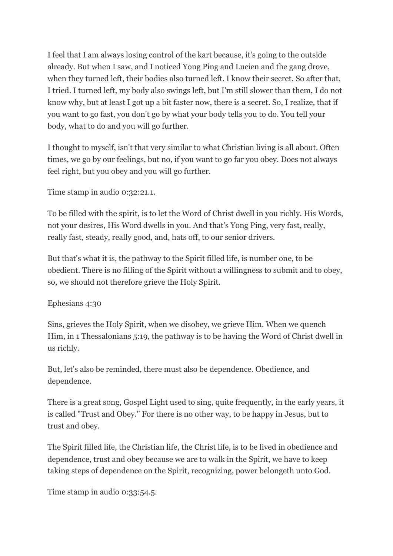I feel that I am always losing control of the kart because, it's going to the outside already. But when I saw, and I noticed Yong Ping and Lucien and the gang drove, when they turned left, their bodies also turned left. I know their secret. So after that, I tried. I turned left, my body also swings left, but I'm still slower than them, I do not know why, but at least I got up a bit faster now, there is a secret. So, I realize, that if you want to go fast, you don't go by what your body tells you to do. You tell your body, what to do and you will go further.

I thought to myself, isn't that very similar to what Christian living is all about. Often times, we go by our feelings, but no, if you want to go far you obey. Does not always feel right, but you obey and you will go further.

Time stamp in audio 0:32:21.1.

To be filled with the spirit, is to let the Word of Christ dwell in you richly. His Words, not your desires, His Word dwells in you. And that's Yong Ping, very fast, really, really fast, steady, really good, and, hats off, to our senior drivers.

But that's what it is, the pathway to the Spirit filled life, is number one, to be obedient. There is no filling of the Spirit without a willingness to submit and to obey, so, we should not therefore grieve the Holy Spirit.

Ephesians 4:30

Sins, grieves the Holy Spirit, when we disobey, we grieve Him. When we quench Him, in 1 Thessalonians 5:19, the pathway is to be having the Word of Christ dwell in us richly.

But, let's also be reminded, there must also be dependence. Obedience, and dependence.

There is a great song, Gospel Light used to sing, quite frequently, in the early years, it is called "Trust and Obey." For there is no other way, to be happy in Jesus, but to trust and obey.

The Spirit filled life, the Christian life, the Christ life, is to be lived in obedience and dependence, trust and obey because we are to walk in the Spirit, we have to keep taking steps of dependence on the Spirit, recognizing, power belongeth unto God.

Time stamp in audio 0:33:54.5.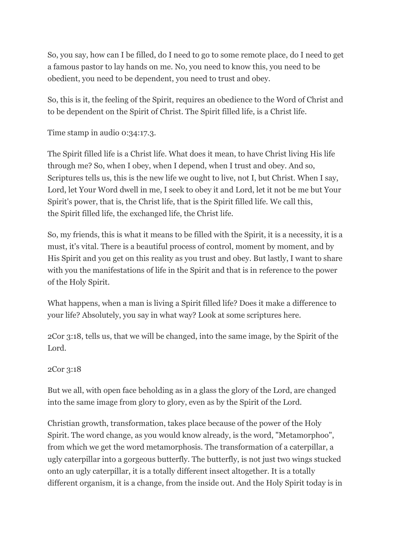So, you say, how can I be filled, do I need to go to some remote place, do I need to get a famous pastor to lay hands on me. No, you need to know this, you need to be obedient, you need to be dependent, you need to trust and obey.

So, this is it, the feeling of the Spirit, requires an obedience to the Word of Christ and to be dependent on the Spirit of Christ. The Spirit filled life, is a Christ life.

Time stamp in audio 0:34:17.3.

The Spirit filled life is a Christ life. What does it mean, to have Christ living His life through me? So, when I obey, when I depend, when I trust and obey. And so, Scriptures tells us, this is the new life we ought to live, not I, but Christ. When I say, Lord, let Your Word dwell in me, I seek to obey it and Lord, let it not be me but Your Spirit's power, that is, the Christ life, that is the Spirit filled life. We call this, the Spirit filled life, the exchanged life, the Christ life.

So, my friends, this is what it means to be filled with the Spirit, it is a necessity, it is a must, it's vital. There is a beautiful process of control, moment by moment, and by His Spirit and you get on this reality as you trust and obey. But lastly, I want to share with you the manifestations of life in the Spirit and that is in reference to the power of the Holy Spirit.

What happens, when a man is living a Spirit filled life? Does it make a difference to your life? Absolutely, you say in what way? Look at some scriptures here.

2Cor 3:18, tells us, that we will be changed, into the same image, by the Spirit of the Lord.

# 2Cor 3:18

But we all, with open face beholding as in a glass the glory of the Lord, are changed into the same image from glory to glory, even as by the Spirit of the Lord.

Christian growth, transformation, takes place because of the power of the Holy Spirit. The word change, as you would know already, is the word, "Metamorphoo", from which we get the word metamorphosis. The transformation of a caterpillar, a ugly caterpillar into a gorgeous butterfly. The butterfly, is not just two wings stucked onto an ugly caterpillar, it is a totally different insect altogether. It is a totally different organism, it is a change, from the inside out. And the Holy Spirit today is in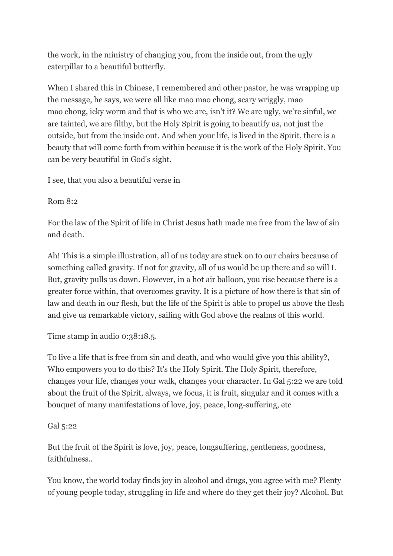the work, in the ministry of changing you, from the inside out, from the ugly caterpillar to a beautiful butterfly.

When I shared this in Chinese, I remembered and other pastor, he was wrapping up the message, he says, we were all like mao mao chong, scary wriggly, mao mao chong, icky worm and that is who we are, isn't it? We are ugly, we're sinful, we are tainted, we are filthy, but the Holy Spirit is going to beautify us, not just the outside, but from the inside out. And when your life, is lived in the Spirit, there is a beauty that will come forth from within because it is the work of the Holy Spirit. You can be very beautiful in God's sight.

I see, that you also a beautiful verse in

Rom 8:2

For the law of the Spirit of life in Christ Jesus hath made me free from the law of sin and death.

Ah! This is a simple illustration, all of us today are stuck on to our chairs because of something called gravity. If not for gravity, all of us would be up there and so will I. But, gravity pulls us down. However, in a hot air balloon, you rise because there is a greater force within, that overcomes gravity. It is a picture of how there is that sin of law and death in our flesh, but the life of the Spirit is able to propel us above the flesh and give us remarkable victory, sailing with God above the realms of this world.

Time stamp in audio 0:38:18.5.

To live a life that is free from sin and death, and who would give you this ability?, Who empowers you to do this? It's the Holy Spirit. The Holy Spirit, therefore, changes your life, changes your walk, changes your character. In Gal 5:22 we are told about the fruit of the Spirit, always, we focus, it is fruit, singular and it comes with a bouquet of many manifestations of love, joy, peace, long-suffering, etc

# Gal 5:22

But the fruit of the Spirit is love, joy, peace, longsuffering, gentleness, goodness, faithfulness..

You know, the world today finds joy in alcohol and drugs, you agree with me? Plenty of young people today, struggling in life and where do they get their joy? Alcohol. But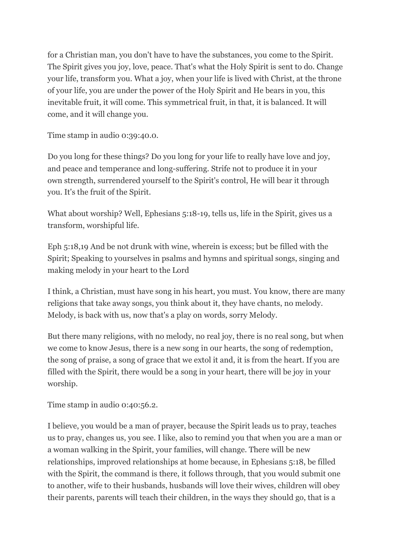for a Christian man, you don't have to have the substances, you come to the Spirit. The Spirit gives you joy, love, peace. That's what the Holy Spirit is sent to do. Change your life, transform you. What a joy, when your life is lived with Christ, at the throne of your life, you are under the power of the Holy Spirit and He bears in you, this inevitable fruit, it will come. This symmetrical fruit, in that, it is balanced. It will come, and it will change you.

Time stamp in audio 0:39:40.0.

Do you long for these things? Do you long for your life to really have love and joy, and peace and temperance and long-suffering. Strife not to produce it in your own strength, surrendered yourself to the Spirit's control, He will bear it through you. It's the fruit of the Spirit.

What about worship? Well, Ephesians 5:18-19, tells us, life in the Spirit, gives us a transform, worshipful life.

Eph 5:18,19 And be not drunk with wine, wherein is excess; but be filled with the Spirit; Speaking to yourselves in psalms and hymns and spiritual songs, singing and making melody in your heart to the Lord

I think, a Christian, must have song in his heart, you must. You know, there are many religions that take away songs, you think about it, they have chants, no melody. Melody, is back with us, now that's a play on words, sorry Melody.

But there many religions, with no melody, no real joy, there is no real song, but when we come to know Jesus, there is a new song in our hearts, the song of redemption, the song of praise, a song of grace that we extol it and, it is from the heart. If you are filled with the Spirit, there would be a song in your heart, there will be joy in your worship.

Time stamp in audio 0:40:56.2.

I believe, you would be a man of prayer, because the Spirit leads us to pray, teaches us to pray, changes us, you see. I like, also to remind you that when you are a man or a woman walking in the Spirit, your families, will change. There will be new relationships, improved relationships at home because, in Ephesians 5:18, be filled with the Spirit, the command is there, it follows through, that you would submit one to another, wife to their husbands, husbands will love their wives, children will obey their parents, parents will teach their children, in the ways they should go, that is a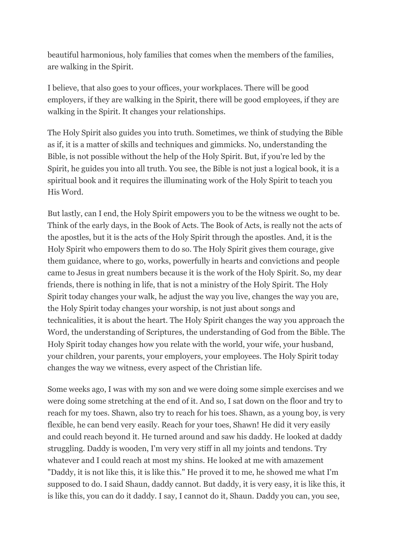beautiful harmonious, holy families that comes when the members of the families, are walking in the Spirit.

I believe, that also goes to your offices, your workplaces. There will be good employers, if they are walking in the Spirit, there will be good employees, if they are walking in the Spirit. It changes your relationships.

The Holy Spirit also guides you into truth. Sometimes, we think of studying the Bible as if, it is a matter of skills and techniques and gimmicks. No, understanding the Bible, is not possible without the help of the Holy Spirit. But, if you're led by the Spirit, he guides you into all truth. You see, the Bible is not just a logical book, it is a spiritual book and it requires the illuminating work of the Holy Spirit to teach you His Word.

But lastly, can I end, the Holy Spirit empowers you to be the witness we ought to be. Think of the early days, in the Book of Acts. The Book of Acts, is really not the acts of the apostles, but it is the acts of the Holy Spirit through the apostles. And, it is the Holy Spirit who empowers them to do so. The Holy Spirit gives them courage, give them guidance, where to go, works, powerfully in hearts and convictions and people came to Jesus in great numbers because it is the work of the Holy Spirit. So, my dear friends, there is nothing in life, that is not a ministry of the Holy Spirit. The Holy Spirit today changes your walk, he adjust the way you live, changes the way you are, the Holy Spirit today changes your worship, is not just about songs and technicalities, it is about the heart. The Holy Spirit changes the way you approach the Word, the understanding of Scriptures, the understanding of God from the Bible. The Holy Spirit today changes how you relate with the world, your wife, your husband, your children, your parents, your employers, your employees. The Holy Spirit today changes the way we witness, every aspect of the Christian life.

Some weeks ago, I was with my son and we were doing some simple exercises and we were doing some stretching at the end of it. And so, I sat down on the floor and try to reach for my toes. Shawn, also try to reach for his toes. Shawn, as a young boy, is very flexible, he can bend very easily. Reach for your toes, Shawn! He did it very easily and could reach beyond it. He turned around and saw his daddy. He looked at daddy struggling. Daddy is wooden, I'm very very stiff in all my joints and tendons. Try whatever and I could reach at most my shins. He looked at me with amazement "Daddy, it is not like this, it is like this." He proved it to me, he showed me what I'm supposed to do. I said Shaun, daddy cannot. But daddy, it is very easy, it is like this, it is like this, you can do it daddy. I say, I cannot do it, Shaun. Daddy you can, you see,